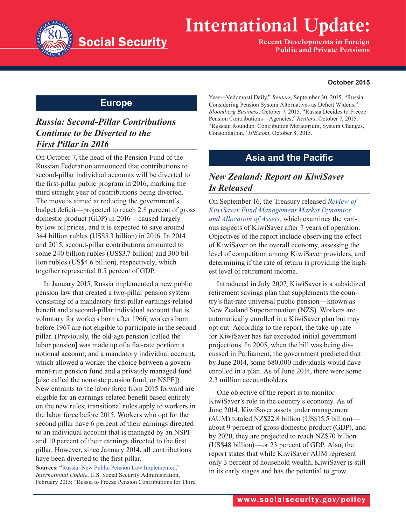

# **International Update:**

**Recent Developments in Foreign Public and Private Pensions**

#### **October 2015**

#### **Europe**

## *Russia: Second-Pillar Contributions Continue to be Diverted to the First Pillar in 2016*

On October 7, the head of the Pension Fund of the Russian Federation announced that contributions to second-pillar individual accounts will be diverted to the first-pillar public program in 2016, marking the third straight year of contributions being diverted. The move is aimed at reducing the government's budget deficit—projected to reach 2.8 percent of gross domestic product (GDP) in 2016—caused largely by low oil prices, and it is expected to save around 344 billion rubles (US\$5.3 billion) in 2016. In 2014 and 2015, second-pillar contributions amounted to some 240 billion rubles (US\$3.7 billion) and 300 billion rubles (US\$4.6 billion), respectively, which together represented 0.5 percent of GDP.

In January 2015, Russia implemented a new public pension law that created a two-pillar pension system consisting of a mandatory first-pillar earnings-related benefit and a second-pillar individual account that is voluntary for workers born after 1966; workers born before 1967 are not eligible to participate in the second pillar. (Previously, the old-age pension [called the labor pension] was made up of a flat-rate portion; a notional account; and a mandatory individual account, which allowed a worker the choice between a government-run pension fund and a privately managed fund [also called the nonstate pension fund, or NSPF]). New entrants to the labor force from 2015 forward are eligible for an earnings-related benefit based entirely on the new rules; transitional rules apply to workers in the labor force before 2015. Workers who opt for the second pillar have 6 percent of their earnings directed to an individual account that is managed by an NSPF and 10 percent of their earnings directed to the first pillar. However, since January 2014, all contributions have been diverted to the first pillar.

**Sources:** "[Russia: New Public Pension Law Implemented](https://www.ssa.gov/policy/docs/progdesc/intl_update/2015-02/)," *International Update*, U.S. Social Security Administration, February 2015; "Russia to Freeze Pension Contributions for Third Year—Vedomosti Daily," *Reuters*, September 30, 2015; "Russia Considering Pension System Alternatives as Deficit Widens," *Bloomberg Business*, October 7, 2015; "Russia Decides to Freeze Pension Contributions—Agencies," *Reuters*, October 7, 2015; "Russian Roundup: Contribution Moratorium, System Changes, Consolidation," *IPE.com*, October 8, 2015.

## **Asia and the Pacific**

### *New Zealand: Report on KiwiSaver Is Released*

On September 16, the Treasury released *[Review of](http://www.treasury.govt.nz/publications/research-policy/tp/kiwisaver)  [KiwiSaver Fund Management Market Dynamics](http://www.treasury.govt.nz/publications/research-policy/tp/kiwisaver)  [and Allocation of Assets,](http://www.treasury.govt.nz/publications/research-policy/tp/kiwisaver)* which examines the various aspects of KiwiSaver after 7 years of operation. Objectives of the report include observing the effect of KiwiSaver on the overall economy, assessing the level of competition among KiwiSaver providers, and determining if the rate of return is providing the highest level of retirement income.

Introduced in July 2007, KiwiSaver is a subsidized retirement savings plan that supplements the country's flat-rate universal public pension—known as New Zealand Superannuation (NZS). Workers are automatically enrolled in a KiwiSaver plan but may opt out. According to the report, the take-up rate for KiwiSaver has far exceeded initial government projections. In 2005, when the bill was being discussed in Parliament, the government predicted that by June 2014, some 680,000 individuals would have enrolled in a plan. As of June 2014, there were some 2.3 million accountholders.

One objective of the report is to monitor KiwiSaver's role in the country's economy. As of June 2014, KiwiSaver assets under management (AUM) totaled NZ\$22.8 billion (US\$15.5 billion) about 9 percent of gross domestic product (GDP), and by 2020, they are projected to reach NZ\$70 billion (US\$48 billion)—or 23 percent of GDP. Also, the report states that while KiwiSaver AUM represent only 3 percent of household wealth, KiwiSaver is still in its early stages and has the potential to grow.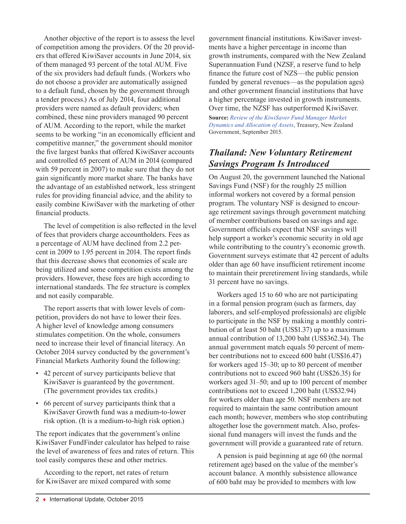Another objective of the report is to assess the level of competition among the providers. Of the 20 providers that offered KiwiSaver accounts in June 2014, six of them managed 93 percent of the total AUM. Five of the six providers had default funds. (Workers who do not choose a provider are automatically assigned to a default fund, chosen by the government through a tender process.) As of July 2014, four additional providers were named as default providers; when combined, these nine providers managed 90 percent of AUM. According to the report, while the market seems to be working "in an economically efficient and competitive manner," the government should monitor the five largest banks that offered KiwiSaver accounts and controlled 65 percent of AUM in 2014 (compared with 59 percent in 2007) to make sure that they do not gain significantly more market share. The banks have the advantage of an established network, less stringent rules for providing financial advice, and the ability to easily combine KiwiSaver with the marketing of other financial products.

The level of competition is also reflected in the level of fees that providers charge accountholders. Fees as a percentage of AUM have declined from 2.2 percent in 2009 to 1.95 percent in 2014. The report finds that this decrease shows that economies of scale are being utilized and some competition exists among the providers. However, these fees are high according to international standards. The fee structure is complex and not easily comparable.

The report asserts that with lower levels of competition, providers do not have to lower their fees. A higher level of knowledge among consumers stimulates competition. On the whole, consumers need to increase their level of financial literacy. An October 2014 survey conducted by the government's Financial Markets Authority found the following:

- 42 percent of survey participants believe that KiwiSaver is guaranteed by the government. (The government provides tax credits.)
- 66 percent of survey participants think that a KiwiSaver Growth fund was a medium-to-lower risk option. (It is a medium-to-high risk option.)

The report indicates that the government's online KiwiSaver FundFinder calculator has helped to raise the level of awareness of fees and rates of return. This tool easily compares these and other metrics.

According to the report, net rates of return for KiwiSaver are mixed compared with some government financial institutions. KiwiSaver investments have a higher percentage in income than growth instruments, compared with the New Zealand Superannuation Fund (NZSF, a reserve fund to help finance the future cost of NZS—the public pension funded by general revenues—as the population ages) and other government financial institutions that have a higher percentage invested in growth instruments. Over time, the NZSF has outperformed KiwiSaver. **Source:** *[Review of the KiwiSaver Fund Manager Market](http://www.treasury.govt.nz/publications/research-policy/tp/kiwisaver)  [Dynamics and Allocation of Assets](http://www.treasury.govt.nz/publications/research-policy/tp/kiwisaver)*, Treasury, New Zealand Government, September 2015.

#### *Thailand: New Voluntary Retirement Savings Program Is Introduced*

On August 20, the government launched the National Savings Fund (NSF) for the roughly 25 million informal workers not covered by a formal pension program. The voluntary NSF is designed to encourage retirement savings through government matching of member contributions based on savings and age. Government officials expect that NSF savings will help support a worker's economic security in old age while contributing to the country's economic growth. Government surveys estimate that 42 percent of adults older than age 60 have insufficient retirement income to maintain their preretirement living standards, while 31 percent have no savings.

Workers aged 15 to 60 who are not participating in a formal pension program (such as farmers, day laborers, and self-employed professionals) are eligible to participate in the NSF by making a monthly contribution of at least 50 baht (US\$1.37) up to a maximum annual contribution of 13,200 baht (US\$362.34). The annual government match equals 50 percent of member contributions not to exceed 600 baht (US\$16.47) for workers aged 15–30; up to 80 percent of member contributions not to exceed 960 baht (US\$26.35) for workers aged 31–50; and up to 100 percent of member contributions not to exceed 1,200 baht (US\$32.94) for workers older than age 50. NSF members are not required to maintain the same contribution amount each month; however, members who stop contributing altogether lose the government match. Also, professional fund managers will invest the funds and the government will provide a guaranteed rate of return.

A pension is paid beginning at age 60 (the normal retirement age) based on the value of the member's account balance. A monthly subsistence allowance of 600 baht may be provided to members with low